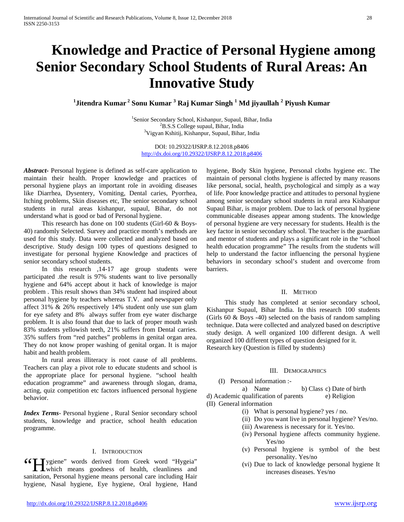# **Knowledge and Practice of Personal Hygiene among Senior Secondary School Students of Rural Areas: An Innovative Study**

**1 Jitendra Kumar <sup>2</sup> Sonu Kumar <sup>3</sup> Raj Kumar Singh <sup>1</sup> Md jiyaullah <sup>2</sup> Piyush Kumar**

<sup>1</sup>Senior Secondary School, Kishanpur, Supaul, Bihar, India  $^{2}$ P S S Collage suppul, Bihar, India  ${}^{2}$ B.S.S College supaul, Bihar, India <sup>3</sup>Vigyan Kshitij, Kishanpur, Supaul, Bihar, India

DOI: 10.29322/IJSRP.8.12.2018.p8406 <http://dx.doi.org/10.29322/IJSRP.8.12.2018.p8406>

*Abstract***-** Personal hygiene is defined as self-care application to maintain their health. Proper knowledge and practices of personal hygiene plays an important role in avoiding diseases like Diarrhea, Dysentery, Vomiting, Dental caries, Pyorrhea, Itching problems, Skin diseases etc, The senior secondary school students in rural areas kishanpur, supaul, Bihar, do not understand what is good or bad of Personal hygiene.

 This research has done on 100 students (Girl-60 & Boys-40) randomly Selected. Survey and practice month's methods are used for this study. Data were collected and analyzed based on descriptive. Study design 100 types of questions designed to investigate for personal hygiene Knowledge and practices of senior secondary school students.

 In this research ,14-17 age group students were participated .the result is 97% students want to live personally hygiene and 64% accept about it hack of knowledge is major problem . This result shows than 34% student had inspired about personal hygiene by teachers whereas T.V. and newspaper only affect 31% & 26% respectively 14% student only use sun glam for eye safety and 8% always suffer from eye water discharge problem. It is also found that due to lack of proper mouth wash 83% students yellowish teeth, 21% suffers from Dental carries. 35% suffers from "red patches" problems in genital organ area. They do not know proper washing of genital organ. It is major habit and health problem.

 In rural areas illiteracy is root cause of all problems. Teachers can play a pivot role to educate students and school is the appropriate place for personal hygiene. "school health education programme" and awareness through slogan, drama, acting, quiz competition etc factors influenced personal hygiene behavior.

*Index Terms*- Personal hygiene , Rural Senior secondary school students, knowledge and practice, school health education programme.

#### I. INTRODUCTION

**44 I** ygiene" words derived from Greek word "Hygeia" Getting the personality. Tes/no<br>  $\begin{array}{ll}\n\text{y} & \text{y} \\
\text{y} & \text{y} \\
\text{t} & \text{t} \\
\text{t} & \text{t} \\
\text{t} & \text{t} \\
\text{t} & \text{t} \\
\text{t} & \text{t} \\
\text{t} & \text{t} \\
\text{t} & \text{t} \\
\text{t} & \text{t} \\
\text{t} & \text{t} \\
\text{t} & \text{t} \\
\text{t} & \text{t} \\
\text{t} & \text{t} \\
\text{t} & \text{t} \\$ sanitation, Personal hygiene means personal care including Hair hygiene, Nasal hygiene, Eye hygiene, Oral hygiene, Hand

hygiene, Body Skin hygiene, Personal cloths hygiene etc. The maintain of personal cloths hygiene is affected by many reasons like personal, social, health, psychological and simply as a way of life. Poor knowledge practice and attitudes to personal hygiene among senior secondary school students in rural area Kishanpur Supaul Bihar, is major problem. Due to lack of personal hygiene communicable diseases appear among students. The knowledge of personal hygiene are very necessary for students. Health is the key factor in senior secondary school. The teacher is the guardian and mentor of students and plays a significant role in the "school health education programme" The results from the students will help to understand the factor influencing the personal hygiene behaviors in secondary school's student and overcome from barriers.

#### II. METHOD

 This study has completed at senior secondary school, Kishanpur Supaul, Bihar India. In this research 100 students (Girls 60 & Boys -40) selected on the basis of random sampling technique. Data were collected and analyzed based on descriptive study design. A well organized 100 different design. A well organized 100 different types of question designed for it. Research key (Question is filled by students)

#### III. DEMOGRAPHICS

(I) Personal information :-

a) Name b) Class c) Date of birth

d) Academic qualification of parents e) Religion (II) General information

- (i) What is personal hygiene? yes / no.
- (ii) Do you want live in personal hygiene? Yes/no.
- (iii) Awareness is necessary for it. Yes/no.
	- (iv) Personal hygiene affects community hygiene. Yes/no
	- (v) Personal hygiene is symbol of the best personality. Yes/no
-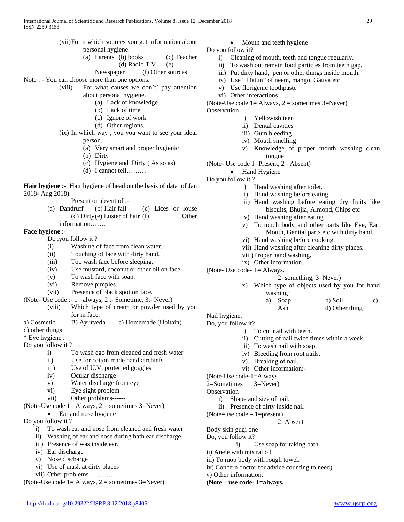| ISSN 2250-3153                                                                                    |                                                                                                                                                                                                                                                                                                                                                                                              |                                                                                                                                                                                                                            |  |
|---------------------------------------------------------------------------------------------------|----------------------------------------------------------------------------------------------------------------------------------------------------------------------------------------------------------------------------------------------------------------------------------------------------------------------------------------------------------------------------------------------|----------------------------------------------------------------------------------------------------------------------------------------------------------------------------------------------------------------------------|--|
|                                                                                                   | (vii) Form which sources you get information about<br>personal hygiene.<br>(a) Parents (b) books<br>(c) Teacher<br>(d) Radio T.V<br>(e)<br>(f) Other sources<br>Newspaper                                                                                                                                                                                                                    | Mou<br>Do you follow it?<br>i)<br>Cleaning<br>$\mathbf{ii}$ )<br>To wash<br>iii) Put dirty                                                                                                                                 |  |
| (viii)                                                                                            | Note : - You can choose more than one options.<br>For what causes we don't' pay attention<br>about personal hygiene.<br>(a) Lack of knowledge.<br>(b) Lack of time<br>(c) Ignore of work<br>(d) Other regions.<br>(ix) In which way, you you want to see your ideal<br>person.<br>(a) Very smart and proper hygienic<br>(b) Dirty<br>(c) Hygiene and Dirty (As so as)<br>$(d)$ I cannot tell | iv) Use "Da<br>Use florig<br>V)<br>vi) Other inte<br>(Note-Use code 1=<br>Observation<br>$\ddot{\text{i}}$<br>$\ddot{\mathbf{i}}$<br>$\overline{\text{iii}}$<br>iv)<br>V)<br>(Note-Use code 1<br>Hand<br>Do you follow it? |  |
| 2018- Aug 2018).                                                                                  | Hair hygiene :- Hair hygiene of head on the basis of data of Jan<br>Present or absent of :-<br>(a) Dandruff (b) Hair fall<br>(c) Lices or louse                                                                                                                                                                                                                                              | $\mathbf{i}$<br>$\mathbf{ii}$<br>iii)                                                                                                                                                                                      |  |
| <b>Face hygiene :-</b>                                                                            | (d) Dirty(e) Luster of hair $(f)$<br>Other<br>information                                                                                                                                                                                                                                                                                                                                    | iv)<br>V)                                                                                                                                                                                                                  |  |
| (i)<br>(ii)<br>(iii)<br>(iv)<br>(v)<br>(vi)                                                       | Do , you follow it?<br>Washing of face from clean water.<br>Touching of face with dirty hand.<br>Too wash face before sleeping.<br>Use mustard, coconut or other oil on face.<br>To wash face with soap.<br>Remove pimples.                                                                                                                                                                  | vi)<br>vii)<br>viii)<br>ix)<br>(Note-Use code-<br>$\mathbf{x})$                                                                                                                                                            |  |
| (vii)<br>(viii)<br>a) Cosmetic                                                                    | Presence of black spot on face.<br>(Note- Use code :- 1 = always, 2 :- Sometime, 3:- Never)<br>Which type of cream or powder used by you<br>for in face.<br>B) Ayurveda<br>c) Homemade (Ubitain)                                                                                                                                                                                             | Nail hygiene.<br>Do, you follow it?                                                                                                                                                                                        |  |
| d) other things<br>* Eye hygiene :<br>Do you follow it ?<br>$\mathbf{i}$<br>$\mathbf{ii}$<br>iii) | To wash ego from cleaned and fresh water<br>Use for cotton made handkerchiefs<br>Use of U.V. protected goggles                                                                                                                                                                                                                                                                               | $\mathbf{i}$<br>$\rm ii)$<br>$\overline{111}$ )<br>iv)<br>V)<br>vi)                                                                                                                                                        |  |
| iv)<br>V)<br>$\rm vi)$<br>vii)                                                                    | Ocular discharge<br>Water discharge from eye<br>Eye sight problem<br>Other problems------<br>(Note-Use code $1 =$ Always, $2 =$ sometimes $3 =$ Never)                                                                                                                                                                                                                                       | (Note-Use code-1=<br>2=Sometimes<br>Observation<br>$\ddot{\text{i}}$<br>Shape and<br>Presence<br>$\rm ii)$                                                                                                                 |  |
| Ear and nose hygiene<br>Do you follow it ?<br>To week our and nose from cleaned and fresh water   |                                                                                                                                                                                                                                                                                                                                                                                              | (Note=use $code$ –                                                                                                                                                                                                         |  |

- i) To wash ear and nose from cleaned and fresh water
- ii) Washing of ear and nose during bath ear discharge.
- iii) Presence of was inside ear.
- 
- 
- 
- vii) Other problems………….
- (Note-Use code  $1 =$  Always,  $2 =$  sometimes  $3 =$ Never)
- Mouth and teeth hygiene
- o you follow it?
	- i) Cleaning of mouth, teeth and tongue regularly.
	- ii) To wash out remain food particles from teeth gap.
	- iii) Put dirty hand, pen or other things inside mouth.
	- iv) Use " Datun" of neem, mango, Gauva etc
	- v) Use florigenic toothpaste
	- vi) Other interactions……..

bservation

- - i) Yellowish teen
	- ii) Dental cavities
	- iii) Gum bleeding
	- iv) Mouth smelling

i) Hand washing after toilet. ii) Hand washing before eating

iv) Hand washing after eating

vi) Hand washing before cooking.

v) Knowledge of proper mouth washing clean tongue

iii) Hand washing before eating dry fruits like biscuits, Bhujia, Almond, Chips etc

v) To touch body and other parts like Eye, Ear, Mouth, Genital parts etc with dirty hand.

- Vote- Use code 1=Present, 2= Absent) • Hand Hygiene
- **Hair hygiene :-** Hair hygiene of head on the basis of data of Jan 201

# **Fac**

- (Note- Use code :- 1 =always, 2 :- Sometime, 3:- Never)
- $d$ ) o
- $*$  E  $Do$
- 
- (Note-Use code  $1 =$  Always,  $2 =$  sometimes 3=Never)
- $Do$ 
	- iv) Ear discharge
	- v) Nose discharge
	- vi) Use of mask at dirty places
		- -

- viii)Proper hand washing. ix) Other information.
- $\text{Note: Use code- } 1 = \text{Always.}$

#### 2=something, 3=Never)

vii) Hand washing after cleaning dirty places.

- x) Which type of objects used by you for hand washing?
	- a) Soap b) Soil c) Ash d) Other thing
- 

- i) To cut nail with teeth.
	- ii) Cutting of nail twice times within a week.
	- iii) To wash nail with soap.
	- iv) Bleeding from root nails.
	- v) Breaking of nail.
- vi) Other information:-

Vote-Use code-1=Always

=Sometimes 3=Never)

- bservation
	- i) Shape and size of nail.
	- ii) Presence of dirty inside nail

 $\text{Note} = \text{use code} - 1 = \text{present}$ 

2=Absent

Body skin gugi one

- Do, you follow it?
	- i) Use soap for taking bath.
- ii) Anele with mistral oil iii) To mop body with rough towel.
- iv) Concern doctor for advice counting to need)
- v) Other information.
- **(Note – use code- 1=always.**
- 
- 
- 
- 
- 

Note-Use code  $1 =$  Always,  $2 =$  sometimes 3=Never)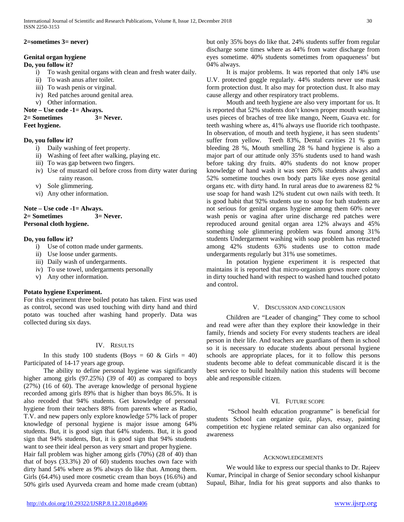## **2=sometimes 3= never)**

# **Genital organ hygiene**

## **Do, you follow it?**

- i) To wash genital organs with clean and fresh water daily.
- ii) To wash anus after toilet.
- iii) To wash penis or virginal.
- iv) Red patches around genital area.
- v) Other information.

## **Note – Use code -1= Always.**

#### **2= Sometimes 3= Never. Feet hygiene.**

## **Do, you follow it?**

- i) Daily washing of feet property.
- ii) Washing of feet after walking, playing etc.
- iii) To was gap between two fingers.
- iv) Use of mustard oil before cross from dirty water during rainy reason.
- v) Sole glimmering.
- vi) Any other information.

## **Note – Use code -1= Always. 2= Sometimes 3= Never. Personal cloth hygiene.**

## **Do, you follow it?**

- i) Use of cotton made under garments.
- ii) Use loose under garments.
- iii) Daily wash of undergarments.
- iv) To use towel, undergarments personally
- v) Any other information.

## **Potato hygiene Experiment.**

For this experiment three boiled potato has taken. First was used as control, second was used touching with dirty hand and third potato was touched after washing hand properly. Data was collected during six days.

## IV. RESULTS

In this study 100 students (Boys =  $60 \&$  Girls = 40) Participated of 14-17 years age group.

 The ability to define personal hygiene was significantly higher among girls (97.25%) (39 of 40) as compared to boys (27%) (16 of 60). The average knowledge of personal hygiene recorded among girls 89% that is higher than boys 86.5%. It is also recoded that 94% students. Get knowledge of personal hygiene from their teachers 88% from parents where as Radio, T.V. and new papers only explore knowledge 57% lack of proper knowledge of personal hygiene is major issue among 64% students. But, it is good sign that 64% students. But, it is good sign that 94% students, But, it is good sign that 94% students want to see their ideal person as very smart and proper hygiene.

Hair fall problem was higher among girls (70%) (28 of 40) than that of boys (33.3%) 20 of 60) students touches own face with dirty hand 54% where as 9% always do like that. Among them. Girls (64.4%) used more cosmetic cream than boys (16.6%) and 50% girls used Ayurveda cream and home made cream (ubttan) but only 35% boys do like that. 24% students suffer from regular discharge some times where as 44% from water discharge from eyes sometime. 40% students sometimes from opaqueness' but 04% always.

 It is major problems. It was reported that only 14% use U.V. protected goggle regularly. 44% students never use mask form protection dust. It also may for protection dust. It also may cause allergy and other respiratory tract problems.

 Mouth and teeth hygiene are also very important for us. It is reported that 52% students don't known proper mouth washing uses pieces of braches of tree like mango, Neem, Guava etc. for teeth washing where as, 41% always use fluoride rich toothpaste. In observation, of mouth and teeth hygiene, it has seen students' suffer from yellow. Teeth 83%, Dental cavities 21 % gum bleeding 28 %, Mouth smelling 28 % hand hygiene is also a major part of our attitude only 35% students used to hand wash before taking dry fruits. 40% students do not know proper knowledge of hand wash it was seen 26% students always and 52% sometime touches own body parts like eyes nose genital organs etc. with dirty hand. In rural areas due to awareness 82 % use soap for hand wash 12% student cut own nails with teeth. It is good habit that 92% students use to soap for bath students are not serious for genital organs hygiene among them 60% never wash penis or vagina after urine discharge red patches were reproduced around genital organ area 12% always and 45% something sole glimmering problem was found among 31% students Undergarment washing with soap problem has retracted among 42% students 63% students use to cotton made undergarments regularly but 31% use sometimes.

 In potation hygiene experiment it is respected that maintains it is reported that micro-organism grows more colony in dirty touched hand with respect to washed hand touched potato and control.

## V. DISCUSSION AND CONCLUSION

 Children are "Leader of changing" They come to school and read were after than they explore their knowledge in their family, friends and society For every students teachers are ideal person in their life. And teachers are guardians of them in school so it is necessary to educate students about personal hygiene schools are appropriate places, for it to follow this persons students become able to defeat communicable discard it is the best service to build healthily nation this students will become able and responsible citizen.

## VI. FUTURE SCOPE

 "School health education programme" is beneficial for students School can organize quiz, plays, essay, painting competition etc hygiene related seminar can also organized for awareness

#### ACKNOWLEDGEMENTS

 We would like to express our special thanks to Dr. Rajeev Kumar, Principal in charge of Senior secondary school kishanpur Supaul, Bihar, India for his great supports and also thanks to